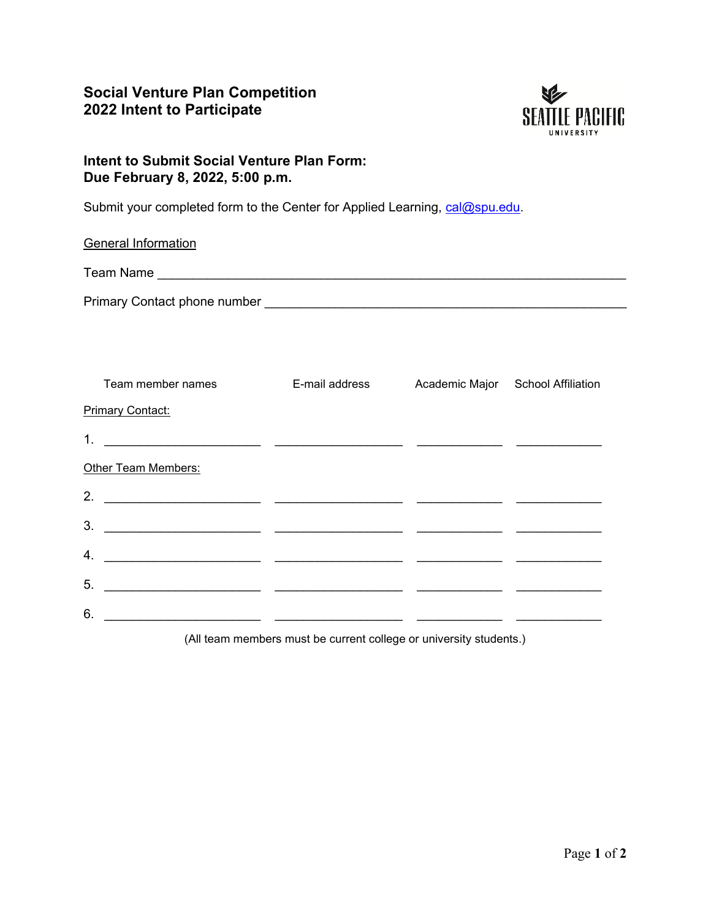## **Social Venture Plan Competition 2022 Intent to Participate**



## **Intent to Submit Social Venture Plan Form: Due February 8, 2022, 5:00 p.m.**

Submit your completed form to the Center for Applied Learning, [cal@spu.edu.](mailto:cal@spu.edu)

| <b>General Information</b>                                                                                                  |                |                                   |
|-----------------------------------------------------------------------------------------------------------------------------|----------------|-----------------------------------|
|                                                                                                                             |                |                                   |
|                                                                                                                             |                |                                   |
|                                                                                                                             |                |                                   |
|                                                                                                                             |                |                                   |
| Team member names                                                                                                           | E-mail address | Academic Major School Affiliation |
| <b>Primary Contact:</b>                                                                                                     |                |                                   |
| 1.                                                                                                                          |                |                                   |
| Other Team Members:                                                                                                         |                |                                   |
| 2.                                                                                                                          |                |                                   |
| 3.                                                                                                                          |                |                                   |
| 4.                                                                                                                          |                |                                   |
| 5.<br><u> 2000 - Andrea Andrew Maria (a chemica di controlle di controlle di controlle di controlle di controlle di con</u> |                |                                   |
| 6.                                                                                                                          |                |                                   |
|                                                                                                                             |                |                                   |

(All team members must be current college or university students.)